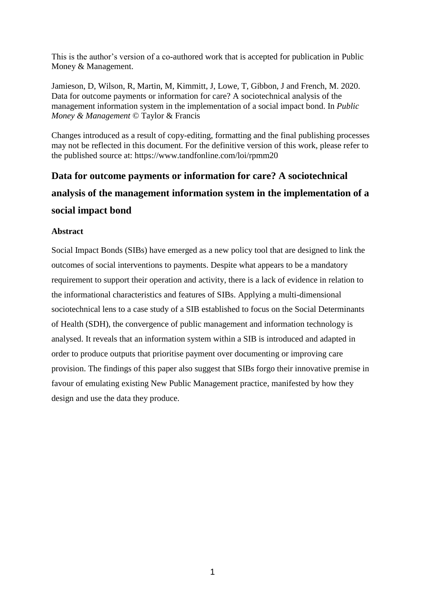This is the author's version of a co-authored work that is accepted for publication in Public Money & Management.

Jamieson, D, Wilson, R, Martin, M, Kimmitt, J, Lowe, T, Gibbon, J and French, M. 2020. Data for outcome payments or information for care? A sociotechnical analysis of the management information system in the implementation of a social impact bond. In *Public Money & Management* © Taylor & Francis

Changes introduced as a result of copy-editing, formatting and the final publishing processes may not be reflected in this document. For the definitive version of this work, please refer to the published source at:<https://www.tandfonline.com/loi/rpmm20>

# **Data for outcome payments or information for care? A sociotechnical analysis of the management information system in the implementation of a social impact bond**

# **Abstract**

Social Impact Bonds (SIBs) have emerged as a new policy tool that are designed to link the outcomes of social interventions to payments. Despite what appears to be a mandatory requirement to support their operation and activity, there is a lack of evidence in relation to the informational characteristics and features of SIBs. Applying a multi-dimensional sociotechnical lens to a case study of a SIB established to focus on the Social Determinants of Health (SDH), the convergence of public management and information technology is analysed. It reveals that an information system within a SIB is introduced and adapted in order to produce outputs that prioritise payment over documenting or improving care provision. The findings of this paper also suggest that SIBs forgo their innovative premise in favour of emulating existing New Public Management practice, manifested by how they design and use the data they produce.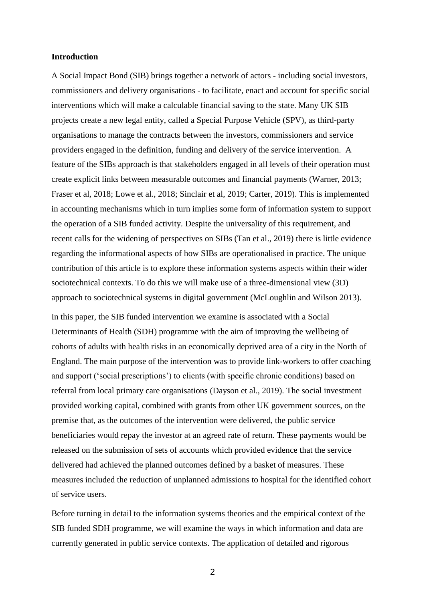#### **Introduction**

A Social Impact Bond (SIB) brings together a network of actors - including social investors, commissioners and delivery organisations - to facilitate, enact and account for specific social interventions which will make a calculable financial saving to the state. Many UK SIB projects create a new legal entity, called a Special Purpose Vehicle (SPV), as third-party organisations to manage the contracts between the investors, commissioners and service providers engaged in the definition, funding and delivery of the service intervention. A feature of the SIBs approach is that stakeholders engaged in all levels of their operation must create explicit links between measurable outcomes and financial payments (Warner, 2013; Fraser et al, 2018; Lowe et al., 2018; Sinclair et al, 2019; Carter, 2019). This is implemented in accounting mechanisms which in turn implies some form of information system to support the operation of a SIB funded activity. Despite the universality of this requirement, and recent calls for the widening of perspectives on SIBs (Tan et al., 2019) there is little evidence regarding the informational aspects of how SIBs are operationalised in practice. The unique contribution of this article is to explore these information systems aspects within their wider sociotechnical contexts. To do this we will make use of a three-dimensional view (3D) approach to sociotechnical systems in digital government (McLoughlin and Wilson 2013).

In this paper, the SIB funded intervention we examine is associated with a Social Determinants of Health (SDH) programme with the aim of improving the wellbeing of cohorts of adults with health risks in an economically deprived area of a city in the North of England. The main purpose of the intervention was to provide link-workers to offer coaching and support ('social prescriptions') to clients (with specific chronic conditions) based on referral from local primary care organisations (Dayson et al., 2019). The social investment provided working capital, combined with grants from other UK government sources, on the premise that, as the outcomes of the intervention were delivered, the public service beneficiaries would repay the investor at an agreed rate of return. These payments would be released on the submission of sets of accounts which provided evidence that the service delivered had achieved the planned outcomes defined by a basket of measures. These measures included the reduction of unplanned admissions to hospital for the identified cohort of service users.

Before turning in detail to the information systems theories and the empirical context of the SIB funded SDH programme, we will examine the ways in which information and data are currently generated in public service contexts. The application of detailed and rigorous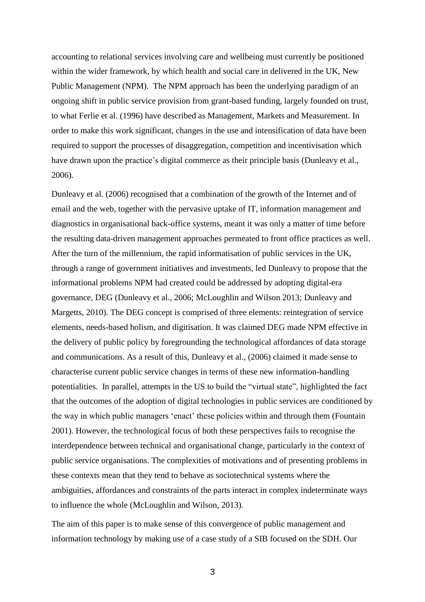accounting to relational services involving care and wellbeing must currently be positioned within the wider framework, by which health and social care in delivered in the UK, New Public Management (NPM). The NPM approach has been the underlying paradigm of an ongoing shift in public service provision from grant-based funding, largely founded on trust, to what Ferlie et al. (1996) have described as Management, Markets and Measurement. In order to make this work significant, changes in the use and intensification of data have been required to support the processes of disaggregation, competition and incentivisation which have drawn upon the practice's digital commerce as their principle basis (Dunleavy et al., 2006).

Dunleavy et al. (2006) recognised that a combination of the growth of the Internet and of email and the web, together with the pervasive uptake of IT, information management and diagnostics in organisational back-office systems, meant it was only a matter of time before the resulting data-driven management approaches permeated to front office practices as well. After the turn of the millennium, the rapid informatisation of public services in the UK, through a range of government initiatives and investments, led Dunleavy to propose that the informational problems NPM had created could be addressed by adopting digital-era governance, DEG (Dunleavy et al., 2006; McLoughlin and Wilson 2013; Dunleavy and Margetts, 2010). The DEG concept is comprised of three elements: reintegration of service elements, needs-based holism, and digitisation. It was claimed DEG made NPM effective in the delivery of public policy by foregrounding the technological affordances of data storage and communications. As a result of this, Dunleavy et al., (2006) claimed it made sense to characterise current public service changes in terms of these new information-handling potentialities. In parallel, attempts in the US to build the "virtual state", highlighted the fact that the outcomes of the adoption of digital technologies in public services are conditioned by the way in which public managers 'enact' these policies within and through them (Fountain 2001). However, the technological focus of both these perspectives fails to recognise the interdependence between technical and organisational change, particularly in the context of public service organisations. The complexities of motivations and of presenting problems in these contexts mean that they tend to behave as sociotechnical systems where the ambiguities, affordances and constraints of the parts interact in complex indeterminate ways to influence the whole (McLoughlin and Wilson, 2013).

The aim of this paper is to make sense of this convergence of public management and information technology by making use of a case study of a SIB focused on the SDH. Our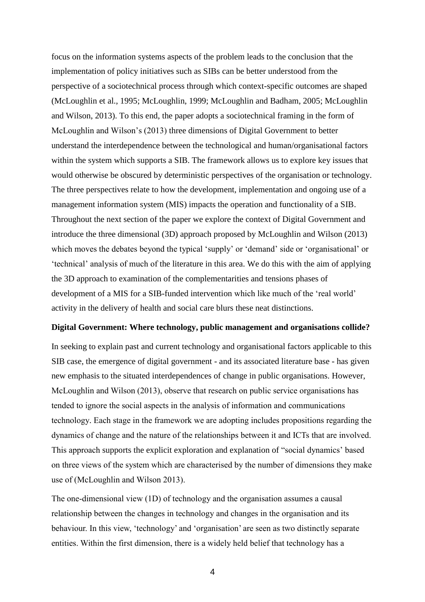focus on the information systems aspects of the problem leads to the conclusion that the implementation of policy initiatives such as SIBs can be better understood from the perspective of a sociotechnical process through which context-specific outcomes are shaped (McLoughlin et al., 1995; McLoughlin, 1999; McLoughlin and Badham, 2005; McLoughlin and Wilson, 2013). To this end, the paper adopts a sociotechnical framing in the form of McLoughlin and Wilson's (2013) three dimensions of Digital Government to better understand the interdependence between the technological and human/organisational factors within the system which supports a SIB. The framework allows us to explore key issues that would otherwise be obscured by deterministic perspectives of the organisation or technology. The three perspectives relate to how the development, implementation and ongoing use of a management information system (MIS) impacts the operation and functionality of a SIB. Throughout the next section of the paper we explore the context of Digital Government and introduce the three dimensional (3D) approach proposed by McLoughlin and Wilson (2013) which moves the debates beyond the typical 'supply' or 'demand' side or 'organisational' or 'technical' analysis of much of the literature in this area. We do this with the aim of applying the 3D approach to examination of the complementarities and tensions phases of development of a MIS for a SIB-funded intervention which like much of the 'real world' activity in the delivery of health and social care blurs these neat distinctions.

#### **Digital Government: Where technology, public management and organisations collide?**

In seeking to explain past and current technology and organisational factors applicable to this SIB case, the emergence of digital government - and its associated literature base - has given new emphasis to the situated interdependences of change in public organisations. However, McLoughlin and Wilson (2013), observe that research on public service organisations has tended to ignore the social aspects in the analysis of information and communications technology. Each stage in the framework we are adopting includes propositions regarding the dynamics of change and the nature of the relationships between it and ICTs that are involved. This approach supports the explicit exploration and explanation of "social dynamics' based on three views of the system which are characterised by the number of dimensions they make use of (McLoughlin and Wilson 2013).

The one-dimensional view (1D) of technology and the organisation assumes a causal relationship between the changes in technology and changes in the organisation and its behaviour. In this view, 'technology' and 'organisation' are seen as two distinctly separate entities. Within the first dimension, there is a widely held belief that technology has a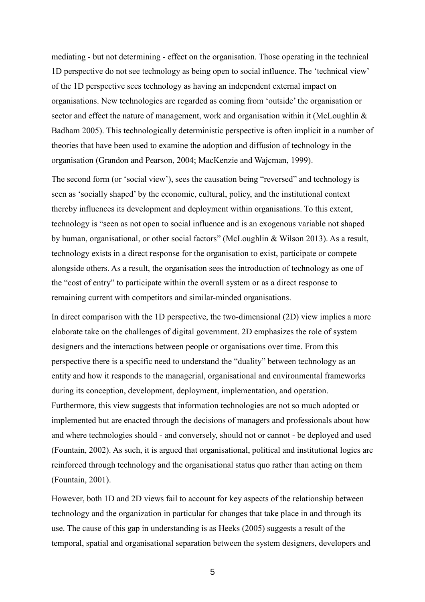mediating - but not determining - effect on the organisation. Those operating in the technical 1D perspective do not see technology as being open to social influence. The 'technical view' of the 1D perspective sees technology as having an independent external impact on organisations. New technologies are regarded as coming from 'outside' the organisation or sector and effect the nature of management, work and organisation within it (McLoughlin & Badham 2005). This technologically deterministic perspective is often implicit in a number of theories that have been used to examine the adoption and diffusion of technology in the organisation (Grandon and Pearson, 2004; MacKenzie and Wajcman, 1999).

The second form (or 'social view'), sees the causation being "reversed" and technology is seen as 'socially shaped' by the economic, cultural, policy, and the institutional context thereby influences its development and deployment within organisations. To this extent, technology is "seen as not open to social influence and is an exogenous variable not shaped by human, organisational, or other social factors" (McLoughlin & Wilson 2013). As a result, technology exists in a direct response for the organisation to exist, participate or compete alongside others. As a result, the organisation sees the introduction of technology as one of the "cost of entry" to participate within the overall system or as a direct response to remaining current with competitors and similar-minded organisations.

In direct comparison with the 1D perspective, the two-dimensional (2D) view implies a more elaborate take on the challenges of digital government. 2D emphasizes the role of system designers and the interactions between people or organisations over time. From this perspective there is a specific need to understand the "duality" between technology as an entity and how it responds to the managerial, organisational and environmental frameworks during its conception, development, deployment, implementation, and operation. Furthermore, this view suggests that information technologies are not so much adopted or implemented but are enacted through the decisions of managers and professionals about how and where technologies should - and conversely, should not or cannot - be deployed and used (Fountain, 2002). As such, it is argued that organisational, political and institutional logics are reinforced through technology and the organisational status quo rather than acting on them (Fountain, 2001).

However, both 1D and 2D views fail to account for key aspects of the relationship between technology and the organization in particular for changes that take place in and through its use. The cause of this gap in understanding is as Heeks (2005) suggests a result of the temporal, spatial and organisational separation between the system designers, developers and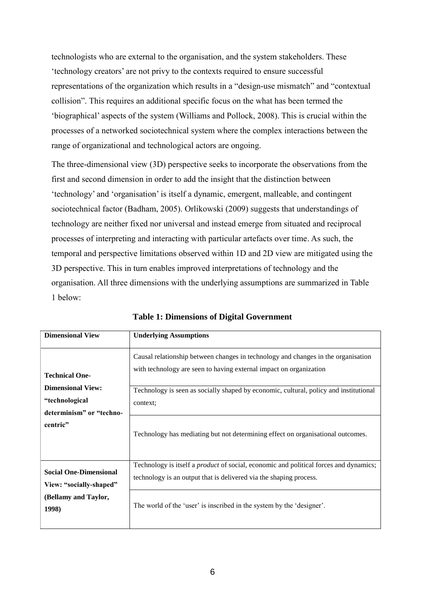technologists who are external to the organisation, and the system stakeholders. These 'technology creators' are not privy to the contexts required to ensure successful representations of the organization which results in a "design-use mismatch" and "contextual collision". This requires an additional specific focus on the what has been termed the 'biographical' aspects of the system (Williams and Pollock, 2008). This is crucial within the processes of a networked sociotechnical system where the complex interactions between the range of organizational and technological actors are ongoing.

The three-dimensional view (3D) perspective seeks to incorporate the observations from the first and second dimension in order to add the insight that the distinction between 'technology' and 'organisation' is itself a dynamic, emergent, malleable, and contingent sociotechnical factor (Badham, 2005). Orlikowski (2009) suggests that understandings of technology are neither fixed nor universal and instead emerge from situated and reciprocal processes of interpreting and interacting with particular artefacts over time. As such, the temporal and perspective limitations observed within 1D and 2D view are mitigated using the 3D perspective. This in turn enables improved interpretations of technology and the organisation. All three dimensions with the underlying assumptions are summarized in Table 1 below:

| <b>Dimensional View</b>                                                                                     | <b>Underlying Assumptions</b>                                                                                                                                                                                                                                                                                                                   |
|-------------------------------------------------------------------------------------------------------------|-------------------------------------------------------------------------------------------------------------------------------------------------------------------------------------------------------------------------------------------------------------------------------------------------------------------------------------------------|
| <b>Technical One-</b><br><b>Dimensional View:</b><br>"technological<br>determinism" or "techno-<br>centric" | Causal relationship between changes in technology and changes in the organisation<br>with technology are seen to having external impact on organization<br>Technology is seen as socially shaped by economic, cultural, policy and institutional<br>context;<br>Technology has mediating but not determining effect on organisational outcomes. |
| <b>Social One-Dimensional</b><br>View: "socially-shaped"<br>(Bellamy and Taylor,<br>1998)                   | Technology is itself a <i>product</i> of social, economic and political forces and dynamics;<br>technology is an output that is delivered via the shaping process.<br>The world of the 'user' is inscribed in the system by the 'designer'.                                                                                                     |

**Table 1: Dimensions of Digital Government**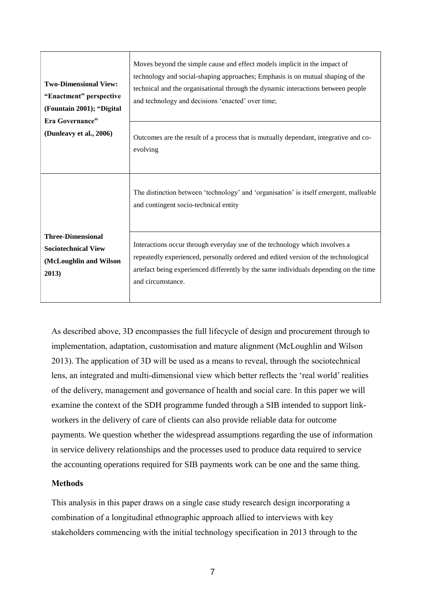| <b>Two-Dimensional View:</b><br>"Enactment" perspective<br>(Fountain 2001); "Digital<br>Era Governance"<br>(Dunleavy et al., 2006) | Moves beyond the simple cause and effect models implicit in the impact of<br>technology and social-shaping approaches; Emphasis is on mutual shaping of the<br>technical and the organisational through the dynamic interactions between people<br>and technology and decisions 'enacted' over time; |
|------------------------------------------------------------------------------------------------------------------------------------|------------------------------------------------------------------------------------------------------------------------------------------------------------------------------------------------------------------------------------------------------------------------------------------------------|
|                                                                                                                                    | Outcomes are the result of a process that is mutually dependant, integrative and co-<br>evolving                                                                                                                                                                                                     |
|                                                                                                                                    | The distinction between 'technology' and 'organisation' is itself emergent, malleable<br>and contingent socio-technical entity                                                                                                                                                                       |
| <b>Three-Dimensional</b><br><b>Sociotechnical View</b><br>(McLoughlin and Wilson<br>2013)                                          | Interactions occur through everyday use of the technology which involves a<br>repeatedly experienced, personally ordered and edited version of the technological<br>artefact being experienced differently by the same individuals depending on the time<br>and circumstance.                        |

As described above, 3D encompasses the full lifecycle of design and procurement through to implementation, adaptation, customisation and mature alignment (McLoughlin and Wilson 2013). The application of 3D will be used as a means to reveal, through the sociotechnical lens, an integrated and multi-dimensional view which better reflects the 'real world' realities of the delivery, management and governance of health and social care. In this paper we will examine the context of the SDH programme funded through a SIB intended to support linkworkers in the delivery of care of clients can also provide reliable data for outcome payments. We question whether the widespread assumptions regarding the use of information in service delivery relationships and the processes used to produce data required to service the accounting operations required for SIB payments work can be one and the same thing.

# **Methods**

This analysis in this paper draws on a single case study research design incorporating a combination of a longitudinal ethnographic approach allied to interviews with key stakeholders commencing with the initial technology specification in 2013 through to the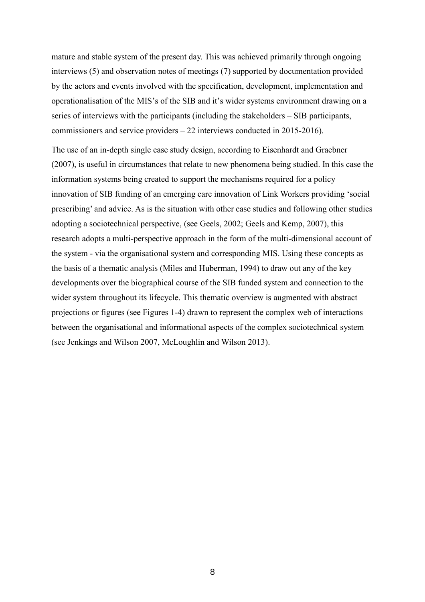mature and stable system of the present day. This was achieved primarily through ongoing interviews (5) and observation notes of meetings (7) supported by documentation provided by the actors and events involved with the specification, development, implementation and operationalisation of the MIS's of the SIB and it's wider systems environment drawing on a series of interviews with the participants (including the stakeholders – SIB participants, commissioners and service providers – 22 interviews conducted in 2015-2016).

The use of an in-depth single case study design, according to Eisenhardt and Graebner (2007), is useful in circumstances that relate to new phenomena being studied. In this case the information systems being created to support the mechanisms required for a policy innovation of SIB funding of an emerging care innovation of Link Workers providing 'social prescribing' and advice. As is the situation with other case studies and following other studies adopting a sociotechnical perspective, (see Geels, 2002; Geels and Kemp, 2007), this research adopts a multi-perspective approach in the form of the multi-dimensional account of the system - via the organisational system and corresponding MIS. Using these concepts as the basis of a thematic analysis (Miles and Huberman, 1994) to draw out any of the key developments over the biographical course of the SIB funded system and connection to the wider system throughout its lifecycle. This thematic overview is augmented with abstract projections or figures (see Figures 1-4) drawn to represent the complex web of interactions between the organisational and informational aspects of the complex sociotechnical system (see Jenkings and Wilson 2007, McLoughlin and Wilson 2013).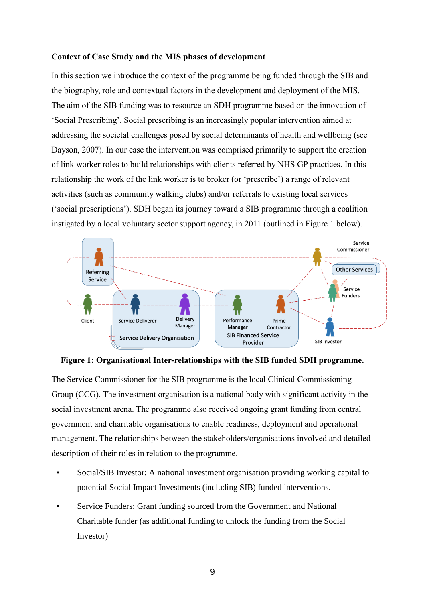#### **Context of Case Study and the MIS phases of development**

In this section we introduce the context of the programme being funded through the SIB and the biography, role and contextual factors in the development and deployment of the MIS. The aim of the SIB funding was to resource an SDH programme based on the innovation of 'Social Prescribing'. Social prescribing is an increasingly popular intervention aimed at addressing the societal challenges posed by social determinants of health and wellbeing (see Dayson, 2007). In our case the intervention was comprised primarily to support the creation of link worker roles to build relationships with clients referred by NHS GP practices. In this relationship the work of the link worker is to broker (or 'prescribe') a range of relevant activities (such as community walking clubs) and/or referrals to existing local services ('social prescriptions'). SDH began its journey toward a SIB programme through a coalition instigated by a local voluntary sector support agency, in 2011 (outlined in Figure 1 below).



**Figure 1: Organisational Inter-relationships with the SIB funded SDH programme.**

The Service Commissioner for the SIB programme is the local Clinical Commissioning Group (CCG). The investment organisation is a national body with significant activity in the social investment arena. The programme also received ongoing grant funding from central government and charitable organisations to enable readiness, deployment and operational management. The relationships between the stakeholders/organisations involved and detailed description of their roles in relation to the programme.

- Social/SIB Investor: A national investment organisation providing working capital to potential Social Impact Investments (including SIB) funded interventions.
- Service Funders: Grant funding sourced from the Government and National Charitable funder (as additional funding to unlock the funding from the Social Investor)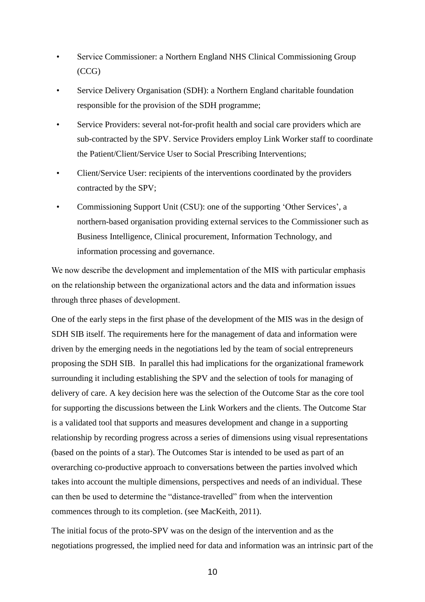- Service Commissioner: a Northern England NHS Clinical Commissioning Group (CCG)
- Service Delivery Organisation (SDH): a Northern England charitable foundation responsible for the provision of the SDH programme;
- Service Providers: several not-for-profit health and social care providers which are sub-contracted by the SPV. Service Providers employ Link Worker staff to coordinate the Patient/Client/Service User to Social Prescribing Interventions;
- Client/Service User: recipients of the interventions coordinated by the providers contracted by the SPV;
- Commissioning Support Unit (CSU): one of the supporting 'Other Services', a northern-based organisation providing external services to the Commissioner such as Business Intelligence, Clinical procurement, Information Technology, and information processing and governance.

We now describe the development and implementation of the MIS with particular emphasis on the relationship between the organizational actors and the data and information issues through three phases of development.

One of the early steps in the first phase of the development of the MIS was in the design of SDH SIB itself. The requirements here for the management of data and information were driven by the emerging needs in the negotiations led by the team of social entrepreneurs proposing the SDH SIB. In parallel this had implications for the organizational framework surrounding it including establishing the SPV and the selection of tools for managing of delivery of care. A key decision here was the selection of the Outcome Star as the core tool for supporting the discussions between the Link Workers and the clients. The Outcome Star is a validated tool that supports and measures development and change in a supporting relationship by recording progress across a series of dimensions using visual representations (based on the points of a star). The Outcomes Star is intended to be used as part of an overarching co-productive approach to conversations between the parties involved which takes into account the multiple dimensions, perspectives and needs of an individual. These can then be used to determine the "distance-travelled" from when the intervention commences through to its completion. (see MacKeith, 2011).

The initial focus of the proto-SPV was on the design of the intervention and as the negotiations progressed, the implied need for data and information was an intrinsic part of the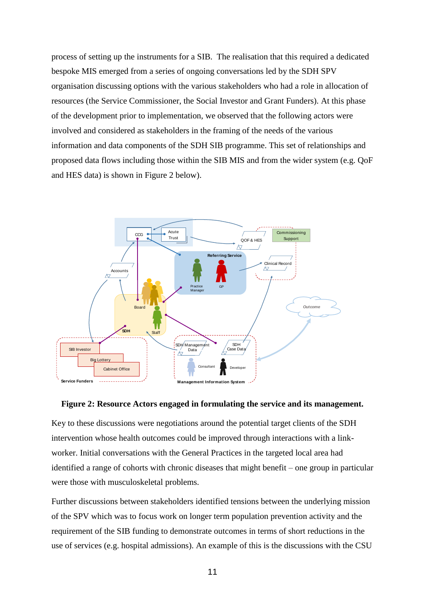process of setting up the instruments for a SIB. The realisation that this required a dedicated bespoke MIS emerged from a series of ongoing conversations led by the SDH SPV organisation discussing options with the various stakeholders who had a role in allocation of resources (the Service Commissioner, the Social Investor and Grant Funders). At this phase of the development prior to implementation, we observed that the following actors were involved and considered as stakeholders in the framing of the needs of the various information and data components of the SDH SIB programme. This set of relationships and proposed data flows including those within the SIB MIS and from the wider system (e.g. QoF and HES data) is shown in Figure 2 below).



#### **Figure 2: Resource Actors engaged in formulating the service and its management.**

Key to these discussions were negotiations around the potential target clients of the SDH intervention whose health outcomes could be improved through interactions with a linkworker. Initial conversations with the General Practices in the targeted local area had identified a range of cohorts with chronic diseases that might benefit – one group in particular were those with musculoskeletal problems.

Further discussions between stakeholders identified tensions between the underlying mission of the SPV which was to focus work on longer term population prevention activity and the requirement of the SIB funding to demonstrate outcomes in terms of short reductions in the use of services (e.g. hospital admissions). An example of this is the discussions with the CSU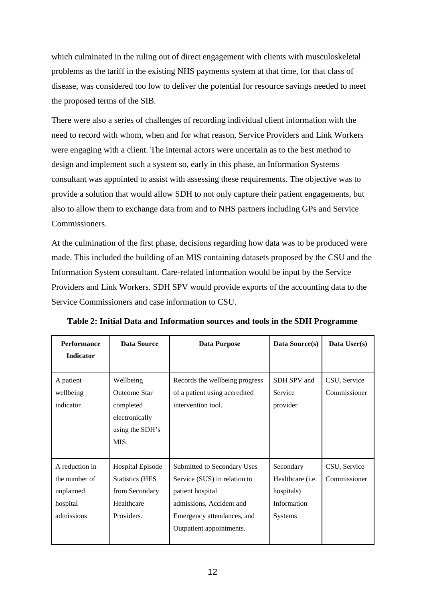which culminated in the ruling out of direct engagement with clients with musculoskeletal problems as the tariff in the existing NHS payments system at that time, for that class of disease, was considered too low to deliver the potential for resource savings needed to meet the proposed terms of the SIB.

There were also a series of challenges of recording individual client information with the need to record with whom, when and for what reason, Service Providers and Link Workers were engaging with a client. The internal actors were uncertain as to the best method to design and implement such a system so, early in this phase, an Information Systems consultant was appointed to assist with assessing these requirements. The objective was to provide a solution that would allow SDH to not only capture their patient engagements, but also to allow them to exchange data from and to NHS partners including GPs and Service Commissioners.

At the culmination of the first phase, decisions regarding how data was to be produced were made. This included the building of an MIS containing datasets proposed by the CSU and the Information System consultant. Care-related information would be input by the Service Providers and Link Workers. SDH SPV would provide exports of the accounting data to the Service Commissioners and case information to CSU.

| <b>Performance</b>                                                     | <b>Data Source</b>                                                                              | Data Purpose                                                                                                                                                          | Data Source(s)                                                        | Data User(s)                 |
|------------------------------------------------------------------------|-------------------------------------------------------------------------------------------------|-----------------------------------------------------------------------------------------------------------------------------------------------------------------------|-----------------------------------------------------------------------|------------------------------|
| <b>Indicator</b>                                                       |                                                                                                 |                                                                                                                                                                       |                                                                       |                              |
| A patient<br>wellbeing<br>indicator                                    | Wellbeing<br><b>Outcome Star</b><br>completed<br>electronically<br>using the SDH's<br>MIS.      | Records the wellbeing progress<br>of a patient using accredited<br>intervention tool.                                                                                 | SDH SPV and<br>Service<br>provider                                    | CSU, Service<br>Commissioner |
| A reduction in<br>the number of<br>unplanned<br>hospital<br>admissions | <b>Hospital Episode</b><br><b>Statistics (HES</b><br>from Secondary<br>Healthcare<br>Providers. | Submitted to Secondary Uses<br>Service (SUS) in relation to<br>patient hospital<br>admissions, Accident and<br>Emergency attendances, and<br>Outpatient appointments. | Secondary<br>Healthcare (i.e.<br>hospitals)<br>Information<br>Systems | CSU, Service<br>Commissioner |

**Table 2: Initial Data and Information sources and tools in the SDH Programme**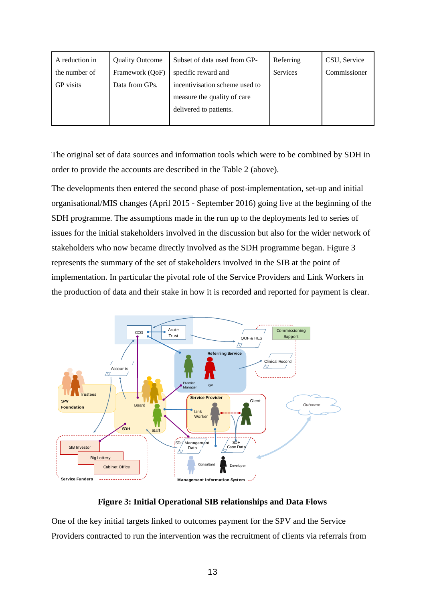| A reduction in   | <b>Quality Outcome</b> | Subset of data used from GP-   | Referring | CSU, Service |
|------------------|------------------------|--------------------------------|-----------|--------------|
| the number of    | Framework (QoF)        | specific reward and            | Services  | Commissioner |
| <b>GP</b> visits | Data from GPs.         | incentivisation scheme used to |           |              |
|                  |                        | measure the quality of care    |           |              |
|                  |                        | delivered to patients.         |           |              |
|                  |                        |                                |           |              |

The original set of data sources and information tools which were to be combined by SDH in order to provide the accounts are described in the Table 2 (above).

The developments then entered the second phase of post-implementation, set-up and initial organisational/MIS changes (April 2015 - September 2016) going live at the beginning of the SDH programme. The assumptions made in the run up to the deployments led to series of issues for the initial stakeholders involved in the discussion but also for the wider network of stakeholders who now became directly involved as the SDH programme began. Figure 3 represents the summary of the set of stakeholders involved in the SIB at the point of implementation. In particular the pivotal role of the Service Providers and Link Workers in the production of data and their stake in how it is recorded and reported for payment is clear.



# **Figure 3: Initial Operational SIB relationships and Data Flows**

One of the key initial targets linked to outcomes payment for the SPV and the Service Providers contracted to run the intervention was the recruitment of clients via referrals from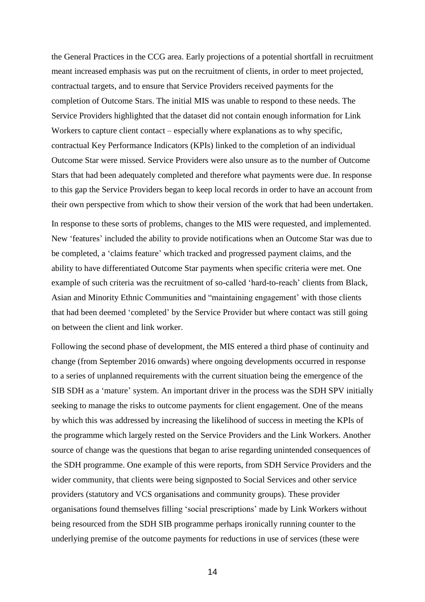the General Practices in the CCG area. Early projections of a potential shortfall in recruitment meant increased emphasis was put on the recruitment of clients, in order to meet projected, contractual targets, and to ensure that Service Providers received payments for the completion of Outcome Stars. The initial MIS was unable to respond to these needs. The Service Providers highlighted that the dataset did not contain enough information for Link Workers to capture client contact – especially where explanations as to why specific, contractual Key Performance Indicators (KPIs) linked to the completion of an individual Outcome Star were missed. Service Providers were also unsure as to the number of Outcome Stars that had been adequately completed and therefore what payments were due. In response to this gap the Service Providers began to keep local records in order to have an account from their own perspective from which to show their version of the work that had been undertaken.

In response to these sorts of problems, changes to the MIS were requested, and implemented. New 'features' included the ability to provide notifications when an Outcome Star was due to be completed, a 'claims feature' which tracked and progressed payment claims, and the ability to have differentiated Outcome Star payments when specific criteria were met. One example of such criteria was the recruitment of so-called 'hard-to-reach' clients from Black, Asian and Minority Ethnic Communities and "maintaining engagement' with those clients that had been deemed 'completed' by the Service Provider but where contact was still going on between the client and link worker.

Following the second phase of development, the MIS entered a third phase of continuity and change (from September 2016 onwards) where ongoing developments occurred in response to a series of unplanned requirements with the current situation being the emergence of the SIB SDH as a 'mature' system. An important driver in the process was the SDH SPV initially seeking to manage the risks to outcome payments for client engagement. One of the means by which this was addressed by increasing the likelihood of success in meeting the KPIs of the programme which largely rested on the Service Providers and the Link Workers. Another source of change was the questions that began to arise regarding unintended consequences of the SDH programme. One example of this were reports, from SDH Service Providers and the wider community, that clients were being signposted to Social Services and other service providers (statutory and VCS organisations and community groups). These provider organisations found themselves filling 'social prescriptions' made by Link Workers without being resourced from the SDH SIB programme perhaps ironically running counter to the underlying premise of the outcome payments for reductions in use of services (these were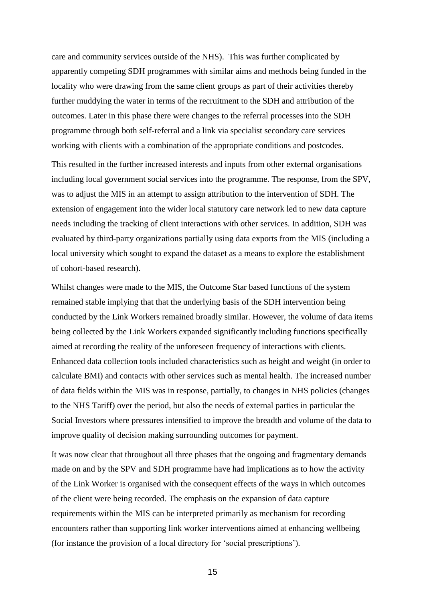care and community services outside of the NHS). This was further complicated by apparently competing SDH programmes with similar aims and methods being funded in the locality who were drawing from the same client groups as part of their activities thereby further muddying the water in terms of the recruitment to the SDH and attribution of the outcomes. Later in this phase there were changes to the referral processes into the SDH programme through both self-referral and a link via specialist secondary care services working with clients with a combination of the appropriate conditions and postcodes.

This resulted in the further increased interests and inputs from other external organisations including local government social services into the programme. The response, from the SPV, was to adjust the MIS in an attempt to assign attribution to the intervention of SDH. The extension of engagement into the wider local statutory care network led to new data capture needs including the tracking of client interactions with other services. In addition, SDH was evaluated by third-party organizations partially using data exports from the MIS (including a local university which sought to expand the dataset as a means to explore the establishment of cohort-based research).

Whilst changes were made to the MIS, the Outcome Star based functions of the system remained stable implying that that the underlying basis of the SDH intervention being conducted by the Link Workers remained broadly similar. However, the volume of data items being collected by the Link Workers expanded significantly including functions specifically aimed at recording the reality of the unforeseen frequency of interactions with clients. Enhanced data collection tools included characteristics such as height and weight (in order to calculate BMI) and contacts with other services such as mental health. The increased number of data fields within the MIS was in response, partially, to changes in NHS policies (changes to the NHS Tariff) over the period, but also the needs of external parties in particular the Social Investors where pressures intensified to improve the breadth and volume of the data to improve quality of decision making surrounding outcomes for payment.

It was now clear that throughout all three phases that the ongoing and fragmentary demands made on and by the SPV and SDH programme have had implications as to how the activity of the Link Worker is organised with the consequent effects of the ways in which outcomes of the client were being recorded. The emphasis on the expansion of data capture requirements within the MIS can be interpreted primarily as mechanism for recording encounters rather than supporting link worker interventions aimed at enhancing wellbeing (for instance the provision of a local directory for 'social prescriptions').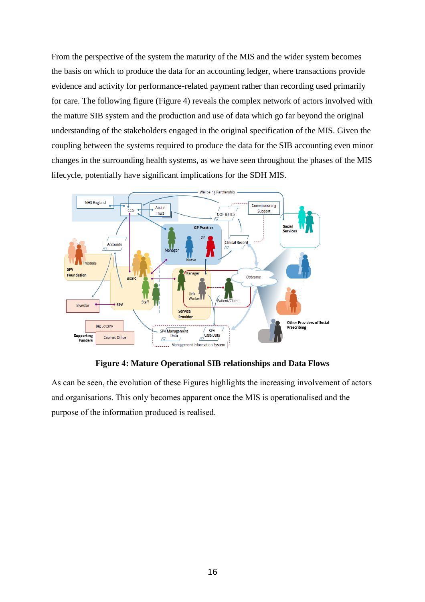From the perspective of the system the maturity of the MIS and the wider system becomes the basis on which to produce the data for an accounting ledger, where transactions provide evidence and activity for performance-related payment rather than recording used primarily for care. The following figure (Figure 4) reveals the complex network of actors involved with the mature SIB system and the production and use of data which go far beyond the original understanding of the stakeholders engaged in the original specification of the MIS. Given the coupling between the systems required to produce the data for the SIB accounting even minor changes in the surrounding health systems, as we have seen throughout the phases of the MIS lifecycle, potentially have significant implications for the SDH MIS.



**Figure 4: Mature Operational SIB relationships and Data Flows**

As can be seen, the evolution of these Figures highlights the increasing involvement of actors and organisations. This only becomes apparent once the MIS is operationalised and the purpose of the information produced is realised.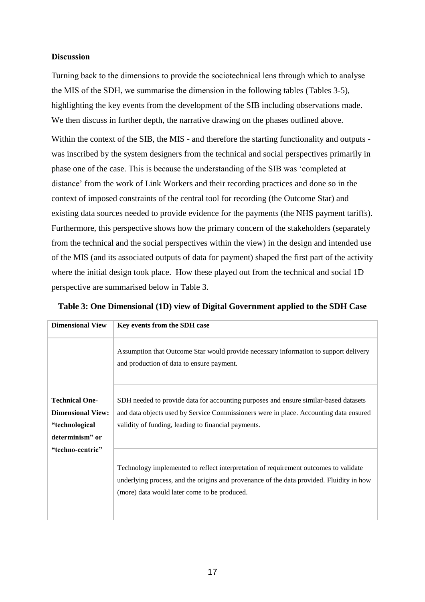# **Discussion**

Turning back to the dimensions to provide the sociotechnical lens through which to analyse the MIS of the SDH, we summarise the dimension in the following tables (Tables 3-5), highlighting the key events from the development of the SIB including observations made. We then discuss in further depth, the narrative drawing on the phases outlined above.

Within the context of the SIB, the MIS - and therefore the starting functionality and outputs was inscribed by the system designers from the technical and social perspectives primarily in phase one of the case. This is because the understanding of the SIB was 'completed at distance' from the work of Link Workers and their recording practices and done so in the context of imposed constraints of the central tool for recording (the Outcome Star) and existing data sources needed to provide evidence for the payments (the NHS payment tariffs). Furthermore, this perspective shows how the primary concern of the stakeholders (separately from the technical and the social perspectives within the view) in the design and intended use of the MIS (and its associated outputs of data for payment) shaped the first part of the activity where the initial design took place. How these played out from the technical and social 1D perspective are summarised below in Table 3.

| <b>Dimensional View</b>                                                                | Key events from the SDH case                                                                                                                                                                                                         |
|----------------------------------------------------------------------------------------|--------------------------------------------------------------------------------------------------------------------------------------------------------------------------------------------------------------------------------------|
|                                                                                        | Assumption that Outcome Star would provide necessary information to support delivery<br>and production of data to ensure payment.                                                                                                    |
| <b>Technical One-</b><br><b>Dimensional View:</b><br>"technological<br>determinism" or | SDH needed to provide data for accounting purposes and ensure similar-based datasets<br>and data objects used by Service Commissioners were in place. Accounting data ensured<br>validity of funding, leading to financial payments. |
| "techno-centric"                                                                       | Technology implemented to reflect interpretation of requirement outcomes to validate<br>underlying process, and the origins and provenance of the data provided. Fluidity in how<br>(more) data would later come to be produced.     |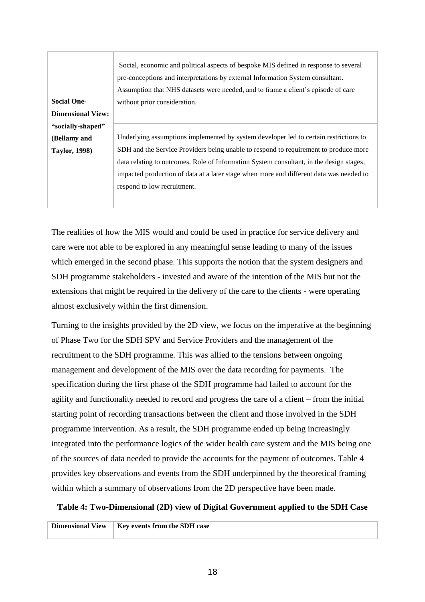|                          | Social, economic and political aspects of bespoke MIS defined in response to several    |
|--------------------------|-----------------------------------------------------------------------------------------|
|                          | pre-conceptions and interpretations by external Information System consultant.          |
|                          | Assumption that NHS datasets were needed, and to frame a client's episode of care       |
| <b>Social One-</b>       | without prior consideration.                                                            |
| <b>Dimensional View:</b> |                                                                                         |
| "socially-shaped"        |                                                                                         |
| (Bellamy and             | Underlying assumptions implemented by system developer led to certain restrictions to   |
| <b>Taylor, 1998)</b>     | SDH and the Service Providers being unable to respond to requirement to produce more    |
|                          | data relating to outcomes. Role of Information System consultant, in the design stages, |
|                          | impacted production of data at a later stage when more and different data was needed to |
|                          | respond to low recruitment.                                                             |
|                          |                                                                                         |
|                          |                                                                                         |

The realities of how the MIS would and could be used in practice for service delivery and care were not able to be explored in any meaningful sense leading to many of the issues which emerged in the second phase. This supports the notion that the system designers and SDH programme stakeholders - invested and aware of the intention of the MIS but not the extensions that might be required in the delivery of the care to the clients - were operating almost exclusively within the first dimension.

Turning to the insights provided by the 2D view, we focus on the imperative at the beginning of Phase Two for the SDH SPV and Service Providers and the management of the recruitment to the SDH programme. This was allied to the tensions between ongoing management and development of the MIS over the data recording for payments. The specification during the first phase of the SDH programme had failed to account for the agility and functionality needed to record and progress the care of a client – from the initial starting point of recording transactions between the client and those involved in the SDH programme intervention. As a result, the SDH programme ended up being increasingly integrated into the performance logics of the wider health care system and the MIS being one of the sources of data needed to provide the accounts for the payment of outcomes. Table 4 provides key observations and events from the SDH underpinned by the theoretical framing within which a summary of observations from the 2D perspective have been made.

# **Table 4: Two-Dimensional (2D) view of Digital Government applied to the SDH Case**

| Dimensional View   Key events from the SDH case |
|-------------------------------------------------|
|                                                 |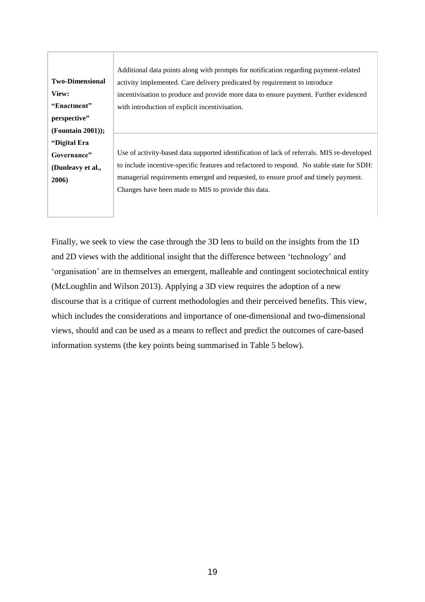**Two-Dimensional View: "Enactment" perspective" (Fountain 2001)); "Digital Era Governance" (Dunleavy et al., 2006)** Additional data points along with prompts for notification regarding payment-related activity implemented. Care delivery predicated by requirement to introduce incentivisation to produce and provide more data to ensure payment. Further evidenced with introduction of explicit incentivisation. Use of activity-based data supported identification of lack of referrals. MIS re-developed to include incentive-specific features and refactored to respond. No stable state for SDH: managerial requirements emerged and requested, to ensure proof and timely payment. Changes have been made to MIS to provide this data.

Finally, we seek to view the case through the 3D lens to build on the insights from the 1D and 2D views with the additional insight that the difference between 'technology' and 'organisation' are in themselves an emergent, malleable and contingent sociotechnical entity (McLoughlin and Wilson 2013). Applying a 3D view requires the adoption of a new discourse that is a critique of current methodologies and their perceived benefits. This view, which includes the considerations and importance of one-dimensional and two-dimensional views, should and can be used as a means to reflect and predict the outcomes of care-based information systems (the key points being summarised in Table 5 below).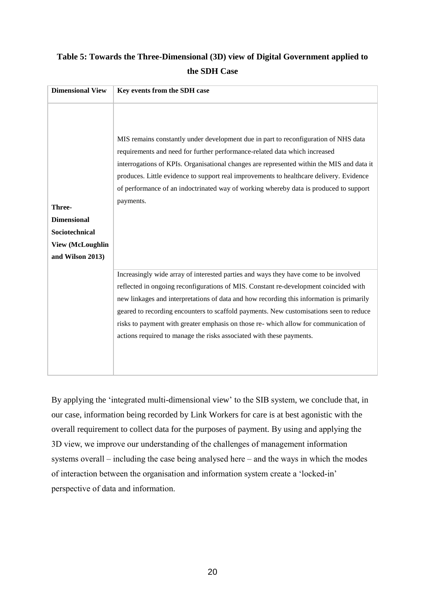# **Table 5: Towards the Three-Dimensional (3D) view of Digital Government applied to the SDH Case**

| <b>Dimensional View</b>                                                                       | Key events from the SDH case                                                                                                                                                                                                                                                                                                                                                                                                                                                                                                       |
|-----------------------------------------------------------------------------------------------|------------------------------------------------------------------------------------------------------------------------------------------------------------------------------------------------------------------------------------------------------------------------------------------------------------------------------------------------------------------------------------------------------------------------------------------------------------------------------------------------------------------------------------|
| Three-<br><b>Dimensional</b><br>Sociotechnical<br><b>View (McLoughlin</b><br>and Wilson 2013) | MIS remains constantly under development due in part to reconfiguration of NHS data<br>requirements and need for further performance-related data which increased<br>interrogations of KPIs. Organisational changes are represented within the MIS and data it<br>produces. Little evidence to support real improvements to healthcare delivery. Evidence<br>of performance of an indoctrinated way of working whereby data is produced to support<br>payments.                                                                    |
|                                                                                               | Increasingly wide array of interested parties and ways they have come to be involved<br>reflected in ongoing reconfigurations of MIS. Constant re-development coincided with<br>new linkages and interpretations of data and how recording this information is primarily<br>geared to recording encounters to scaffold payments. New customisations seen to reduce<br>risks to payment with greater emphasis on those re- which allow for communication of<br>actions required to manage the risks associated with these payments. |

By applying the 'integrated multi-dimensional view' to the SIB system, we conclude that, in our case, information being recorded by Link Workers for care is at best agonistic with the overall requirement to collect data for the purposes of payment. By using and applying the 3D view, we improve our understanding of the challenges of management information systems overall – including the case being analysed here – and the ways in which the modes of interaction between the organisation and information system create a 'locked-in' perspective of data and information.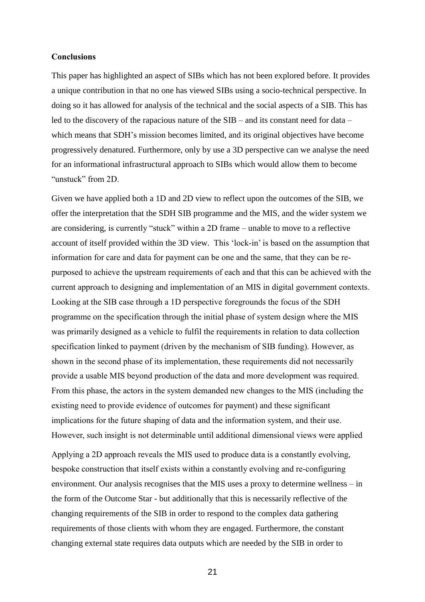#### **Conclusions**

This paper has highlighted an aspect of SIBs which has not been explored before. It provides a unique contribution in that no one has viewed SIBs using a socio-technical perspective. In doing so it has allowed for analysis of the technical and the social aspects of a SIB. This has led to the discovery of the rapacious nature of the SIB – and its constant need for data – which means that SDH's mission becomes limited, and its original objectives have become progressively denatured. Furthermore, only by use a 3D perspective can we analyse the need for an informational infrastructural approach to SIBs which would allow them to become "unstuck" from 2D.

Given we have applied both a 1D and 2D view to reflect upon the outcomes of the SIB, we offer the interpretation that the SDH SIB programme and the MIS, and the wider system we are considering, is currently "stuck" within a 2D frame – unable to move to a reflective account of itself provided within the 3D view. This 'lock-in' is based on the assumption that information for care and data for payment can be one and the same, that they can be repurposed to achieve the upstream requirements of each and that this can be achieved with the current approach to designing and implementation of an MIS in digital government contexts. Looking at the SIB case through a 1D perspective foregrounds the focus of the SDH programme on the specification through the initial phase of system design where the MIS was primarily designed as a vehicle to fulfil the requirements in relation to data collection specification linked to payment (driven by the mechanism of SIB funding). However, as shown in the second phase of its implementation, these requirements did not necessarily provide a usable MIS beyond production of the data and more development was required. From this phase, the actors in the system demanded new changes to the MIS (including the existing need to provide evidence of outcomes for payment) and these significant implications for the future shaping of data and the information system, and their use. However, such insight is not determinable until additional dimensional views were applied

Applying a 2D approach reveals the MIS used to produce data is a constantly evolving, bespoke construction that itself exists within a constantly evolving and re-configuring environment. Our analysis recognises that the MIS uses a proxy to determine wellness – in the form of the Outcome Star - but additionally that this is necessarily reflective of the changing requirements of the SIB in order to respond to the complex data gathering requirements of those clients with whom they are engaged. Furthermore, the constant changing external state requires data outputs which are needed by the SIB in order to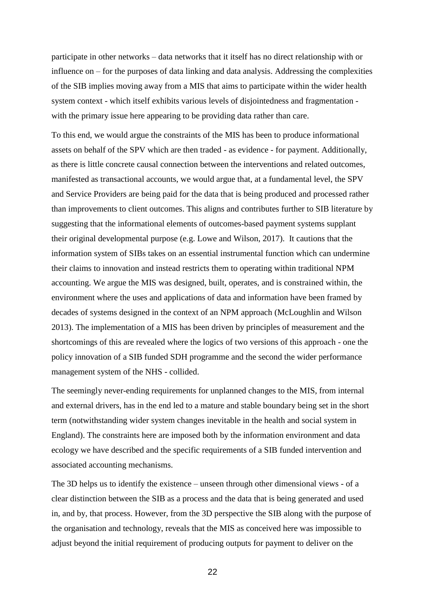participate in other networks – data networks that it itself has no direct relationship with or influence on – for the purposes of data linking and data analysis. Addressing the complexities of the SIB implies moving away from a MIS that aims to participate within the wider health system context - which itself exhibits various levels of disjointedness and fragmentation with the primary issue here appearing to be providing data rather than care.

To this end, we would argue the constraints of the MIS has been to produce informational assets on behalf of the SPV which are then traded - as evidence - for payment. Additionally, as there is little concrete causal connection between the interventions and related outcomes, manifested as transactional accounts, we would argue that, at a fundamental level, the SPV and Service Providers are being paid for the data that is being produced and processed rather than improvements to client outcomes. This aligns and contributes further to SIB literature by suggesting that the informational elements of outcomes-based payment systems supplant their original developmental purpose (e.g. Lowe and Wilson, 2017). It cautions that the information system of SIBs takes on an essential instrumental function which can undermine their claims to innovation and instead restricts them to operating within traditional NPM accounting. We argue the MIS was designed, built, operates, and is constrained within, the environment where the uses and applications of data and information have been framed by decades of systems designed in the context of an NPM approach (McLoughlin and Wilson 2013). The implementation of a MIS has been driven by principles of measurement and the shortcomings of this are revealed where the logics of two versions of this approach - one the policy innovation of a SIB funded SDH programme and the second the wider performance management system of the NHS - collided.

The seemingly never-ending requirements for unplanned changes to the MIS, from internal and external drivers, has in the end led to a mature and stable boundary being set in the short term (notwithstanding wider system changes inevitable in the health and social system in England). The constraints here are imposed both by the information environment and data ecology we have described and the specific requirements of a SIB funded intervention and associated accounting mechanisms.

The 3D helps us to identify the existence – unseen through other dimensional views - of a clear distinction between the SIB as a process and the data that is being generated and used in, and by, that process. However, from the 3D perspective the SIB along with the purpose of the organisation and technology, reveals that the MIS as conceived here was impossible to adjust beyond the initial requirement of producing outputs for payment to deliver on the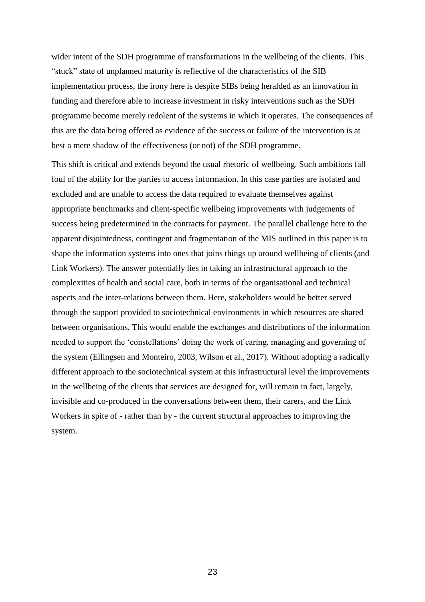wider intent of the SDH programme of transformations in the wellbeing of the clients. This "stuck" state of unplanned maturity is reflective of the characteristics of the SIB implementation process, the irony here is despite SIBs being heralded as an innovation in funding and therefore able to increase investment in risky interventions such as the SDH programme become merely redolent of the systems in which it operates. The consequences of this are the data being offered as evidence of the success or failure of the intervention is at best a mere shadow of the effectiveness (or not) of the SDH programme.

This shift is critical and extends beyond the usual rhetoric of wellbeing. Such ambitions fall foul of the ability for the parties to access information. In this case parties are isolated and excluded and are unable to access the data required to evaluate themselves against appropriate benchmarks and client-specific wellbeing improvements with judgements of success being predetermined in the contracts for payment. The parallel challenge here to the apparent disjointedness, contingent and fragmentation of the MIS outlined in this paper is to shape the information systems into ones that joins things up around wellbeing of clients (and Link Workers). The answer potentially lies in taking an infrastructural approach to the complexities of health and social care, both in terms of the organisational and technical aspects and the inter-relations between them. Here, stakeholders would be better served through the support provided to sociotechnical environments in which resources are shared between organisations. This would enable the exchanges and distributions of the information needed to support the 'constellations' doing the work of caring, managing and governing of the system (Ellingsen and Monteiro, 2003, Wilson et al., 2017). Without adopting a radically different approach to the sociotechnical system at this infrastructural level the improvements in the wellbeing of the clients that services are designed for, will remain in fact, largely, invisible and co-produced in the conversations between them, their carers, and the Link Workers in spite of - rather than by - the current structural approaches to improving the system.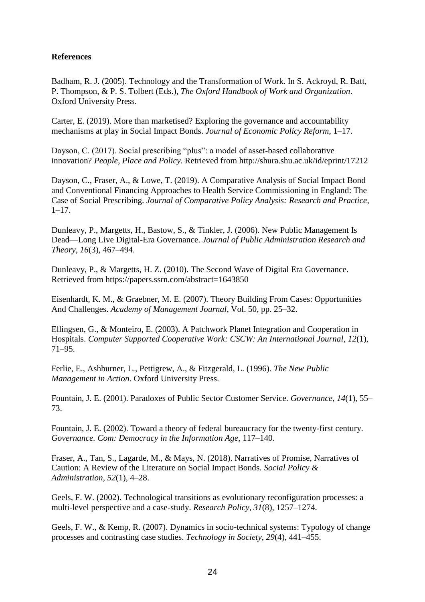# **References**

Badham, R. J. (2005). Technology and the Transformation of Work. In S. Ackroyd, R. Batt, P. Thompson, & P. S. Tolbert (Eds.), *The Oxford Handbook of Work and Organization*. Oxford University Press.

[Carter, E. \(2019\). More than marketised? Exploring the governance and accountability](http://paperpile.com/b/cAZLBM/Uhmc)  [mechanisms at play in Social Impact Bonds.](http://paperpile.com/b/cAZLBM/Uhmc) *Journal of Economic Policy Reform*, 1–17.

[Dayson, C. \(2017\). Social prescribing "plus": a model of asset-based collaborative](http://paperpile.com/b/cAZLBM/JQRl)  innovation? *[People, Place and Policy](http://paperpile.com/b/cAZLBM/JQRl)*. Retrieved from<http://shura.shu.ac.uk/id/eprint/17212>

[Dayson, C., Fraser, A., & Lowe, T. \(2019\). A Comparative Analysis of Social Impact Bond](http://paperpile.com/b/cAZLBM/GAb0)  [and Conventional Financing Approaches to Health Service Commissioning in England: The](http://paperpile.com/b/cAZLBM/GAb0)  Case of Social Prescribing. *Journal of Comparative Policy [Analysis: Research and Practice](http://paperpile.com/b/cAZLBM/GAb0)*,  $1-17.$ 

[Dunleavy, P., Margetts, H., Bastow, S., & Tinkler, J. \(2006\). New Public Management Is](http://paperpile.com/b/cAZLBM/HjuQ)  Dead—Long Live Digital-Era Governance. *[Journal of Public Administration Research and](http://paperpile.com/b/cAZLBM/HjuQ)  Theory*, *16*[\(3\), 467–494.](http://paperpile.com/b/cAZLBM/HjuQ)

[Dunleavy, P., & Margetts, H. Z. \(2010\). The Second Wave of Digital Era Governance.](http://paperpile.com/b/cAZLBM/fJwZ)  [Retrieved from](http://paperpile.com/b/cAZLBM/fJwZ) <https://papers.ssrn.com/abstract=1643850>

Eisenhardt, K. M., & Graebner, M. E. (2007). Theory Building From Cases: Opportunities And Challenges. *Academy of Management Journal*, Vol. 50, pp. 25–32.

Ellingsen, G., & Monteiro, E. (2003). A Patchwork Planet Integration and Cooperation in Hospitals. *Computer Supported Cooperative Work: CSCW: An International Journal*, *12*(1), 71–95.

Ferlie, E., Ashburner, L., Pettigrew, A., & Fitzgerald, L. (1996). *The New Public Management in Action*. Oxford University Press.

Fountain, J. E. (2001). Paradoxes of Public Sector Customer Service. *Governance*, *14*(1), 55– 73.

[Fountain, J. E. \(2002\). Toward a theory of federal bureaucracy for the twenty-first century.](http://paperpile.com/b/cAZLBM/fryz)  *[Governance. Com: Democracy in the Information Age](http://paperpile.com/b/cAZLBM/fryz)*, 117–140.

[Fraser, A., Tan, S., Lagarde, M., & Mays, N. \(2018\). Narratives of Promise, Narratives of](http://paperpile.com/b/cAZLBM/i0Jt)  [Caution: A Review of the Literature on Social Impact Bonds.](http://paperpile.com/b/cAZLBM/i0Jt) *Social Policy & [Administration](http://paperpile.com/b/cAZLBM/i0Jt)*, *52*(1), 4–28.

[Geels, F. W. \(2002\). Technological transitions as evolutionary reconfiguration processes: a](http://paperpile.com/b/cAZLBM/DO7L)  [multi-level perspective and a case-study.](http://paperpile.com/b/cAZLBM/DO7L) *Research Policy*, *31*(8), 1257–1274.

[Geels, F. W., & Kemp, R. \(2007\). Dynamics in socio-technical systems: Typology of change](http://paperpile.com/b/cAZLBM/SCq4)  [processes and contrasting case studies.](http://paperpile.com/b/cAZLBM/SCq4) *Technology in Society*, *29*(4), 441–455.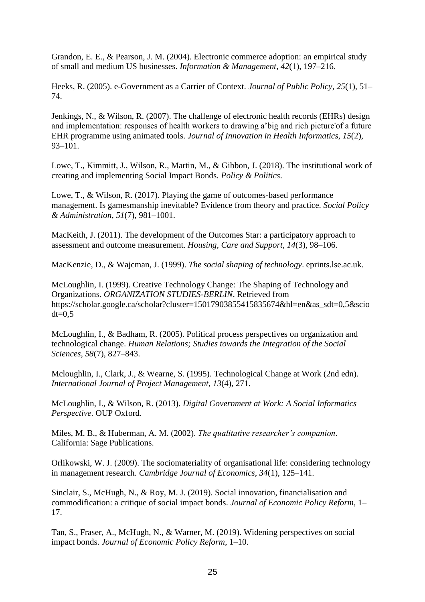[Grandon, E. E., & Pearson, J. M. \(2004\). Electronic commerce adoption: an empirical study](http://paperpile.com/b/cAZLBM/q9Ug)  [of small and medium US businesses.](http://paperpile.com/b/cAZLBM/q9Ug) *Information & Management*, *42*(1), 197–216.

[Heeks, R. \(2005\). e-Government as a Carrier of Context.](http://paperpile.com/b/cAZLBM/mBpH) *Journal of Public Policy*, *25*(1), 51– [74.](http://paperpile.com/b/cAZLBM/mBpH)

[Jenkings, N., & Wilson, R. \(2007\). The challenge of electronic health records \(EHRs\) design](http://paperpile.com/b/cAZLBM/SZn0)  [and implementation: responses of health workers to drawing a'big and rich picture'of a future](http://paperpile.com/b/cAZLBM/SZn0)  EHR programme using animated tools. *[Journal of Innovation in Health Informatics](http://paperpile.com/b/cAZLBM/SZn0)*, *15*(2), [93–101.](http://paperpile.com/b/cAZLBM/SZn0)

Lowe, T., Kimmitt, J., Wilson, R., Martin, M., & Gibbon, J. (2018). The institutional work of creating and implementing Social Impact Bonds. *Policy & Politics*.

[Lowe, T., & Wilson, R. \(2017\). Playing the game of outcomes-based performance](http://paperpile.com/b/cAZLBM/1a3N)  [management. Is gamesmanship inevitable? Evidence from theory and practice.](http://paperpile.com/b/cAZLBM/1a3N) *Social Policy [& Administration](http://paperpile.com/b/cAZLBM/1a3N)*, *51*(7), 981–1001.

[MacKeith, J. \(2011\). The development of the Outcomes Star: a participatory approach to](http://paperpile.com/b/cAZLBM/wlxX)  [assessment and outcome measurement.](http://paperpile.com/b/cAZLBM/wlxX) *Housing, Care and Support*, *14*(3), 98–106.

[MacKenzie, D., & Wajcman, J. \(1999\).](http://paperpile.com/b/cAZLBM/a926) *The social shaping of technology*. eprints.lse.ac.uk.

[McLoughlin, I. \(1999\). Creative Technology Change: The Shaping of Technology and](http://paperpile.com/b/cAZLBM/u4IJ)  Organizations. *[ORGANIZATION STUDIES-BERLIN](http://paperpile.com/b/cAZLBM/u4IJ)*. Retrieved from [https://scholar.google.ca/scholar?cluster=15017903855415835674&hl=en&as\\_sdt=0,5&scio](https://scholar.google.ca/scholar?cluster=15017903855415835674&hl=en&as_sdt=0,5&sciodt=0,5)  $dt = 0.5$ 

[McLoughlin, I., & Badham, R. \(2005\). Political process perspectives on organization and](http://paperpile.com/b/cAZLBM/ITbT)  technological change. *[Human Relations; Studies towards the Integration of the Social](http://paperpile.com/b/cAZLBM/ITbT)  Sciences*, *58*[\(7\), 827–843.](http://paperpile.com/b/cAZLBM/ITbT)

[Mcloughlin, I., Clark, J., & Wearne, S. \(1995\). Technological Change at Work \(2nd edn\).](http://paperpile.com/b/cAZLBM/YDgX)  *[International Journal of Project Management](http://paperpile.com/b/cAZLBM/YDgX)*, *13*(4), 271.

McLoughlin, I., & Wilson, R. (2013). *[Digital Government at Work: A Social Informatics](http://paperpile.com/b/cAZLBM/N60f)  Perspective*[. OUP Oxford.](http://paperpile.com/b/cAZLBM/N60f)

[Miles, M. B., & Huberman, A. M. \(2002\).](http://paperpile.com/b/cAZLBM/8TUt) *The qualitative researcher's companion*. [California: Sage Publications.](http://paperpile.com/b/cAZLBM/8TUt)

[Orlikowski, W. J. \(2009\). The sociomateriality of organisational life: considering technology](http://paperpile.com/b/cAZLBM/nCax)  in management research. *[Cambridge Journal of Economics](http://paperpile.com/b/cAZLBM/nCax)*, *34*(1), 125–141.

[Sinclair, S., McHugh, N., & Roy, M. J. \(2019\). Social innovation, financialisation and](http://paperpile.com/b/cAZLBM/eugX)  [commodification: a critique of social impact bonds.](http://paperpile.com/b/cAZLBM/eugX) *Journal of Economic Policy Reform*, 1– [17.](http://paperpile.com/b/cAZLBM/eugX)

[Tan, S., Fraser, A., McHugh, N., & Warner, M. \(2019\). Widening perspectives on social](http://paperpile.com/b/cAZLBM/IRN7)  impact bonds. *[Journal of Economic Policy Reform](http://paperpile.com/b/cAZLBM/IRN7)*, 1–10.